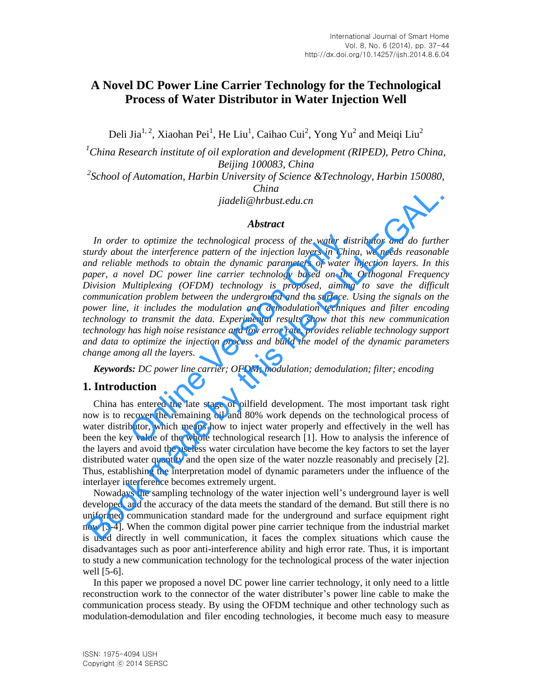# **A Novel DC Power Line Carrier Technology for the Technological Process of Water Distributor in Water Injection Well**

Deli Jia<sup>1, 2</sup>, Xiaohan Pei<sup>1</sup>, He Liu<sup>1</sup>, Caihao Cui<sup>2</sup>, Yong Yu<sup>2</sup> and Meiqi Liu<sup>2</sup>

*<sup>1</sup>China Research institute of oil exploration and development (RIPED), Petro China, Beijing 100083, China* 

<sup>2</sup> School of Automation, Harbin University of Science &Technology, Harbin 150080, *China* 

*jiadeli@hrbust.edu.cn*

#### *Abstract*

In order to optimize the technological process of the water distributor and do further *sturdy about the interference pattern of the injection layers in China, we needs reasonable and reliable methods to obtain the dynamic parameters of water injection layers. In this paper, a novel DC power line carrier technology based on the Orthogonal Frequency Division Multiplexing (OFDM) technology is proposed, aiming to save the difficult communication problem between the underground and the surface. Using the signals on the power line, it includes the modulation and demodulation techniques and filter encoding technology to transmit the data. Experimental results show that this new communication technology has high noise resistance and low error rate, provides reliable technology support and data to optimize the injection process and build the model of the dynamic parameters change among all the layers.*  to optimize the technological process of the water dist<br>to the interference pattern of the injection layers in China<br>e methods to obtain the dynamic parameters of water in<br>ovel DC power line carrier technology based on the Final times the reaction of the main scheme of the same scheme that the same standary and the same of the system of the model in the system of the particular about the interference pattern of the injection layers in China

*Keywords: DC power line carrier; OFDM; modulation; demodulation; filter; encoding* 

### **1. Introduction**

China has entered the late stage of oilfield development. The most important task right now is to recover the remaining oil and 80% work depends on the technological process of water distributor, which means how to inject water properly and effectively in the well has been the key value of the whole technological research [1]. How to analysis the inference of the layers and avoid the useless water circulation have become the key factors to set the layer distributed water quantity and the open size of the water nozzle reasonably and precisely [2]. Thus, establishing the interpretation model of dynamic parameters under the influence of the interlayer interference becomes extremely urgent.

Nowadays the sampling technology of the water injection well's underground layer is well developed, and the accuracy of the data meets the standard of the demand. But still there is no uniformed communication standard made for the underground and surface equipment right now [3-4]. When the common digital power pine carrier technique from the industrial market is used directly in well communication, it faces the complex situations which cause the disadvantages such as poor anti-interference ability and high error rate. Thus, it is important to study a new communication technology for the technological process of the water injection well [5-6].

In this paper we proposed a novel DC power line carrier technology, it only need to a little reconstruction work to the connector of the water distributer's power line cable to make the communication process steady. By using the OFDM technique and other technology such as modulation-demodulation and filer encoding technologies, it become much easy to measure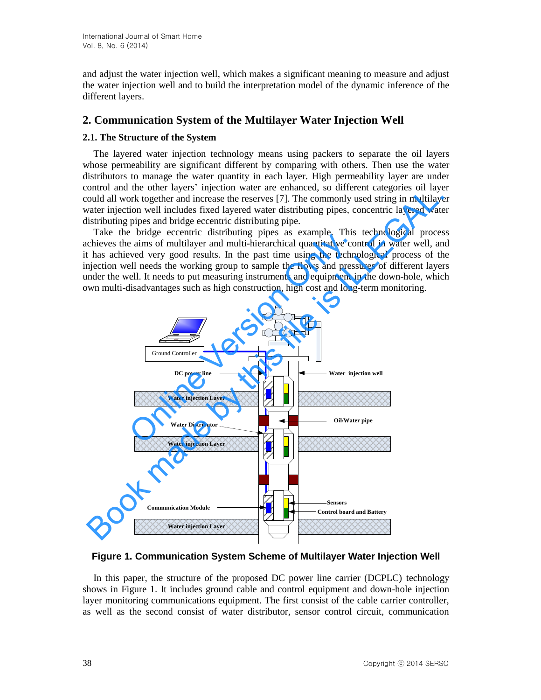and adjust the water injection well, which makes a significant meaning to measure and adjust the water injection well and to build the interpretation model of the dynamic inference of the different layers.

## **2. Communication System of the Multilayer Water Injection Well**

#### **2.1. The Structure of the System**

The layered water injection technology means using packers to separate the oil layers whose permeability are significant different by comparing with others. Then use the water distributors to manage the water quantity in each layer. High permeability layer are under control and the other layers' injection water are enhanced, so different categories oil layer could all work together and increase the reserves [7]. The commonly used string in multilayer water injection well includes fixed layered water distributing pipes, concentric layered water distributing pipes and bridge eccentric distributing pipe.

Take the bridge eccentric distributing pipes as example. This technological process achieves the aims of multilayer and multi-hierarchical quantitative control in water well, and it has achieved very good results. In the past time using the technological process of the injection well needs the working group to sample the flows and pressures of different layers under the well. It needs to put measuring instruments and equipment in the down-hole, which own multi-disadvantages such as high construction, high cost and long-term monitoring.



**Figure 1. Communication System Scheme of Multilayer Water Injection Well**

In this paper, the structure of the proposed DC power line carrier (DCPLC) technology shows in Figure 1. It includes ground cable and control equipment and down-hole injection layer monitoring communications equipment. The first consist of the cable carrier controller, as well as the second consist of water distributor, sensor control circuit, communication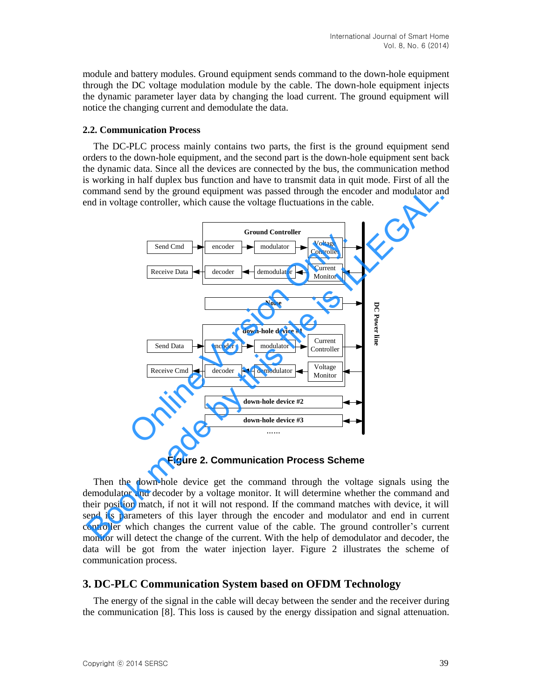module and battery modules. Ground equipment sends command to the down-hole equipment through the DC voltage modulation module by the cable. The down-hole equipment injects the dynamic parameter layer data by changing the load current. The ground equipment will notice the changing current and demodulate the data.

#### **2.2. Communication Process**

The DC-PLC process mainly contains two parts, the first is the ground equipment send orders to the down-hole equipment, and the second part is the down-hole equipment sent back the dynamic data. Since all the devices are connected by the bus, the communication method is working in half duplex bus function and have to transmit data in quit mode. First of all the command send by the ground equipment was passed through the encoder and modulator and end in voltage controller, which cause the voltage fluctuations in the cable.



**Figure 2. Communication Process Scheme** 

Then the down-hole device get the command through the voltage signals using the demodulator and decoder by a voltage monitor. It will determine whether the command and their position match, if not it will not respond. If the command matches with device, it will send its parameters of this layer through the encoder and modulator and end in current controller which changes the current value of the cable. The ground controller's current monitor will detect the change of the current. With the help of demodulator and decoder, the data will be got from the water injection layer. Figure 2 illustrates the scheme of communication process.

#### **3. DC-PLC Communication System based on OFDM Technology**

The energy of the signal in the cable will decay between the sender and the receiver during the communication [8]. This loss is caused by the energy dissipation and signal attenuation.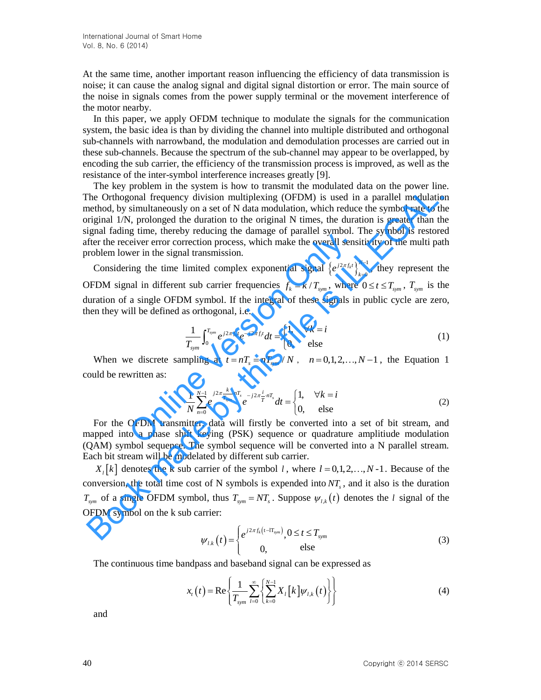At the same time, another important reason influencing the efficiency of data transmission is noise; it can cause the analog signal and digital signal distortion or error. The main source of the noise in signals comes from the power supply terminal or the movement interference of the motor nearby.

In this paper, we apply OFDM technique to modulate the signals for the communication system, the basic idea is than by dividing the channel into multiple distributed and orthogonal sub-channels with narrowband, the modulation and demodulation processes are carried out in these sub-channels. Because the spectrum of the sub-channel may appear to be overlapped, by encoding the sub carrier, the efficiency of the transmission process is improved, as well as the resistance of the inter-symbol interference increases greatly [9].

The key problem in the system is how to transmit the modulated data on the power line. The Orthogonal frequency division multiplexing (OFDM) is used in a parallel modulation method, by simultaneously on a set of N data modulation, which reduce the symbol rate to the original 1/N, prolonged the duration to the original N times, the duration is greater than the signal fading time, thereby reducing the damage of parallel symbol. The symbol is restored after the receiver error correction process, which make the overall sensitivity of the multi path problem lower in the signal transmission. The say problem in we space to the diamon the most<br>analysis of the Drihogonal frequency division multiplexing (OPDM) is used in a parallel modulation<br>rehefold, by simultaneously on a set of N data modulation, which reduce

Considering the time limited complex exponential signal  $\left\{e^{j2\pi f_k t}\right\}_{k=0}^{N-1}$  $\left\{ \int_{k=0}^{N-1} \right\}$  $e^{j2\pi f_k t}$ <sub>k=0</sub>  $\int_{=0}^{1}$ , they represent the OFDM signal in different sub carrier frequencies  $f_k = k/T_{sym}$ , where  $0 \le t \le T_{sym}$ ,  $T_{sym}$  is the duration of a single OFDM symbol. If the integral of these signals in public cycle are zero, then they will be defined as orthogonal, i.e. believer error correction process, which make the overall sense<br>
were enter the signal transmission.<br>
Since the signal transmission.<br>
In the signal transmission.<br>
In the signal transmission.<br>
In different sub carrier freq

$$
\frac{1}{T_{sym}} \int_{0}^{T_{sym}} e^{j2\pi f_k t} e^{-j2\pi f_j t} dt = \begin{cases} 1, & \forall k = i \\ 0, & \text{else} \end{cases}
$$
(1)

When we discrete sampling at  $t = nT_s = nT_{sym}/N$ ,  $n = 0,1,2,...,N-1$ , the Equation 1 could be rewritten as:

$$
\frac{1}{N} \sum_{n=0}^{N-1} e^{j2\pi \frac{k}{T_{sym}}} e^{-j2\pi \frac{i}{T}nT_s} dt = \begin{cases} 1, & \forall k = i \\ 0, & \text{else} \end{cases}
$$
(2)

For the OFDM transmitter, data will firstly be converted into a set of bit stream, and mapped into a phase shift keying (PSK) sequence or quadrature amplitiude modulation (QAM) symbol sequence. The symbol sequence will be converted into a N parallel stream. Each bit stream will be modelated by different sub carrier.

 $X_i[k]$  denotes the k sub carrier of the symbol *l*, where  $l = 0, 1, 2, ..., N-1$ . Because of the conversion, the total time cost of N symbols is expended into *NT<sup>s</sup>* , and it also is the duration  $T_{sym}$  of a single OFDM symbol, thus  $T_{sym} = NT_s$ . Suppose  $\psi_{l,k}(t)$  denotes the *l* signal of the OFDM symbol on the k sub carrier:

$$
\psi_{l,k}(t) = \begin{cases} e^{j2\pi f_k(t - \Pi_{sym})}, 0 \le t \le T_{sym} \\ 0, \qquad \text{else} \end{cases}
$$
 (3)

The continuous time bandpass and baseband signal can be expressed as

$$
x_{t}(t) = \text{Re}\left\{\frac{1}{T_{sym}}\sum_{l=0}^{\infty}\left\{\sum_{k=0}^{N-1}X_{l}[k]\psi_{l,k}(t)\right\}\right\}
$$
(4)

and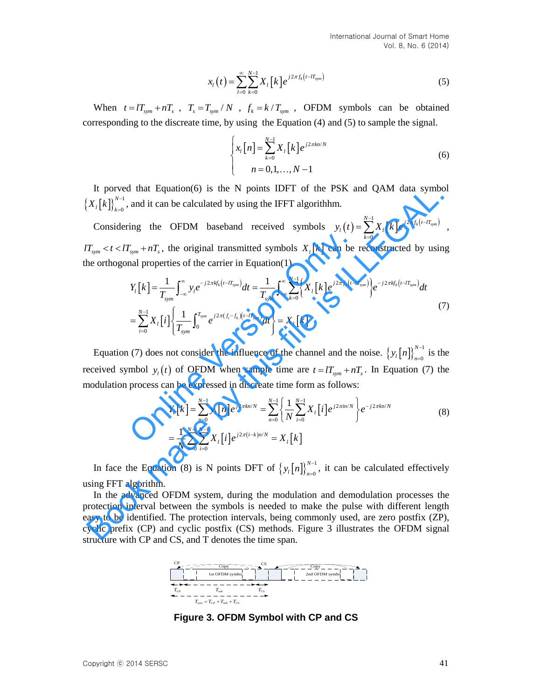$$
x_{l}(t) = \sum_{l=0}^{\infty} \sum_{k=0}^{N-1} X_{l}[k] e^{j2\pi f_{k}(t - IT_{sym})}
$$
\n(5)

When  $t = lT_{sym} + nT_s$ ,  $T_s = T_{sym} / N$ ,  $f_k = k / T_{sym}$ , OFDM symbols can be obtained corresponding to the discreate time, by using the Equation (4) and (5) to sample the signal.

$$
\begin{cases} x_{l}[n] = \sum_{k=0}^{N-1} X_{l}[k] e^{j2\pi kn/N} \\ n = 0, 1, ..., N-1 \end{cases}
$$
 (6)

It porved that Equation(6) is the N points IDFT of the PSK and QAM data symbol  $\left\{X_{t}[k]\right\}_{k=0}^{N-1}$ *N*  $X_{i}$ [ $k$ ] $\bigg\}_{k=0}^{N-1}$  $\int_{-0}^{-1}$ , and it can be calculated by using the IFFT algorithhm.

Considering the OFDM baseband received symbols  $y_l(t) = \sum_{l=1}^{N-1} X_l[k] e^{j2\pi f_k(t-lT_{sym})}$ , 2  $\mathbf{0}$  $\sum_{k=1}^{N-1} \sum_{l=1}^{N} \int_{0}^{j2\pi f_k(t-lT_{sym})}$  $y_l(t) = \sum_{k=0}^{N-1} X_l[k] e^{j2\pi f_k(t-k)}$  $=\sum_{k=0} X_{l} [k] e^{j2\pi f_{k}(t-lT_{sym})}$ , the orthogonal properties of the carrier in Equation(1).

It proved that Equation(6) is the N points DFT of the PSK and QAM data symbol  
\n
$$
\{X_i[k]\}_{k=0}^{N-1}
$$
, and it can be calculated by using the IFFT algorithm.  
\nConsidering the OFDM baseball received symbols  $y_i(t) = \sum_{k=0}^{N-1} X_i[k]e^{j2\pi f_k(t-T_{\text{ram}})}$ ,  
\n $T_{sym} \prec t \prec T_{sym} + nT_s$ , the original transmitted symbols  $X_i[k]$  can be reconstructed by using  
\nthe orthogonal properties of the carrier in Equation(1).  
\n
$$
Y_i[k] = \frac{1}{T_{sym}} \int_{-\infty}^{\infty} y_i e^{-j2\pi f_k(t-T_{sym})} dt = \frac{1}{T_{sym}} \int_{-\infty}^{\infty} \sum_{k=0}^{N-1} \{X_i[k]e^{j2\pi f_k(t-T_{sym})} \} e^{-j2\pi f_k(t-T_{sym})} dt
$$
\n
$$
= \sum_{i=0}^{N-1} X_i[i] \left\{ \frac{1}{T_{sym}} \int_{0}^{T_{sym}} e^{j2\pi (f_i-f_k)(t-T_{rms})} dt \right\} = X_i[k]
$$
\nEquation (7) does not consider the influence of the channel and the noise.  $\{y_i[n]\}_{n=0}^{N-1}$  is the  
\nreceived symbol  $y_i(t)$  of OFDM when sample time are  $t = IT_{sym} + nT_s$ . In Equation (7) the  
\nmodulation process can be expressed in discrete time form as follows:  
\n
$$
Y_i[k] = \sum_{n=0}^{N-1} y_i[n]e^{j2\pi t/n/N} = \sum_{n=0}^{N-1} \left\{ \frac{1}{N} \sum_{i=0}^{N-1} X_i[i]e^{j2\pi t/n/N} \right\} e^{-j2\pi t/n/N}
$$
\n(8)  
\n
$$
= \frac{1}{N} \sum_{n=0}^{N-1} \sum_{i=0}^{N-1} X_i[i]e^{j2\pi (i-k)n/N} = X_i[k]
$$
\nIn face the Equation (8) is N points DFT of  $\{y_i[n]\}_{n=0}^{N-1}$ , it can be calculated effectively  
\nusing FFT algorithm.  
\nIn the advanced OFDM system, during the modulation and demodulation processes the  
\nprotection interval between the symbols is needed to make the pulse with different length  
\neasy to be identified. The protection intervals, being commonly used, are zero postfix (ZP),  
\n
$$
Y_i[k] = \
$$

Equation (7) does not consider the influence of the channel and the noise.  $\{y_i[n]\}_{n=0}^{N-1}$ *N*  $\left[ n \right]_n^{N-1}$  $\int_{0}^{-1}$  is the received symbol  $y_i(t)$  of OFDM when sample time are  $t = lT_{sym} + nT_s$ . In Equation (7) the

modulation process can be expressed in discrete time form as follows:  
\n
$$
Y_{l}[k] = \sum_{n=0}^{N-1} y_{l}[n]e^{j2\pi kn/N} = \sum_{n=0}^{N-1} \left\{\frac{1}{N} \sum_{i=0}^{N-1} X_{l}[i]e^{j2\pi in/N}\right\}e^{-j2\pi kn/N}
$$
\n
$$
= \frac{1}{N} \sum_{n=0}^{N-1} \sum_{i=0}^{N-1} X_{l}[i]e^{j2\pi(i-k)n/N} = X_{l}[k]
$$
\n(8)

In face the Equation (8) is N points DFT of  $\{y_i[n]\}_{n=0}^{N-1}$ *N*  $\left[ n \right]_n^{N-1}$  $_{=0}^{1}$ , it can be calculated effectively using FFT algorithm.

 $y_r(t) = \sum_{n=1}^{\infty} \sum_{n=1}^{\infty} X_r[k] e^{i\pi x/(n\pi_{n\pi})}$  (5)<br>
When  $t = U_{\text{max}} + nT$ ,  $T_1 = T_{\text{max}} \wedge Y$ ,  $f_2 = k \wedge T_{\text{max}}$ , OFDM symbols can be obtained<br>
corresponding to the discusse time, by using the Equation (4) and (5) to sa In the advanced OFDM system, during the modulation and demodulation processes the protection interval between the symbols is needed to make the pulse with different length easy to be identified. The protection intervals, being commonly used, are zero postfix (ZP), cyclic prefix (CP) and cyclic postfix (CS) methods. Figure 3 illustrates the OFDM signal structure with CP and CS, and T denotes the time span.



**Figure 3. OFDM Symbol with CP and CS**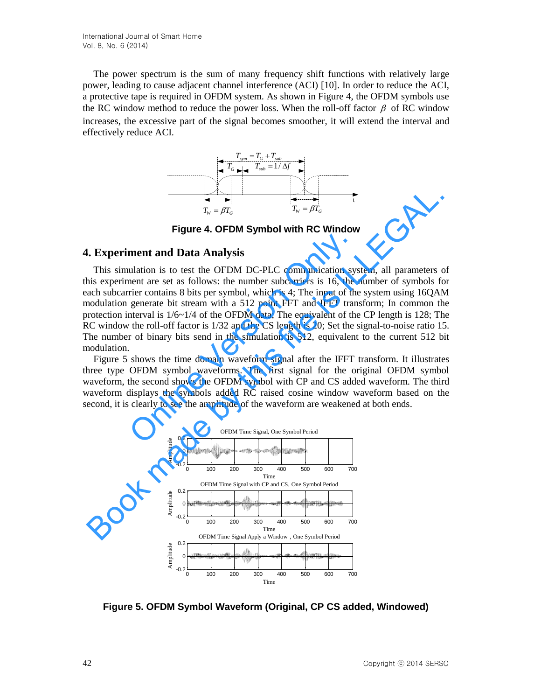The power spectrum is the sum of many frequency shift functions with relatively large power, leading to cause adjacent channel interference (ACI) [10]. In order to reduce the ACI, a protective tape is required in OFDM system. As shown in Figure 4, the OFDM symbols use the RC window method to reduce the power loss. When the roll-off factor  $\beta$  of RC window increases, the excessive part of the signal becomes smoother, it will extend the interval and effectively reduce ACI.<br>  $T_{sym} = T_G + T_{sub}$ <br>  $T_{G \to 1} = T_{sub} + T_{sub}$ effectively reduce ACI.



**Figure 4. OFDM Symbol with RC Window**

#### **4. Experiment and Data Analysis**

This simulation is to test the OFDM DC-PLC communication system, all parameters of this experiment are set as follows: the number subcarriers is 16, the number of symbols for each subcarrier contains 8 bits per symbol, which is 4; The input of the system using 16QAM modulation generate bit stream with a 512 point FFT and IFFT transform; In common the protection interval is  $1/6 \sim 1/4$  of the OFDM data; The equivalent of the CP length is 128; The RC window the roll-off factor is 1/32 and the CS length is 20; Set the signal-to-noise ratio 15. The number of binary bits send in the simulation is 512, equivalent to the current 512 bit modulation. **ment and Data Analysis**<br>
ulation is to test the OFDM DC-PLC communication system<br>
the are set as follows: the number subcarriers is 16, the rier contains 8 bits per symbol, which is 4; The input of the<br>
generate bit stre Experiment and Data Analysis<br>
T<sub>W</sub> =  $\beta T_w = \beta T_o$ <br>
Figure 4. OFDM Symbol with RC Window<br>
H. Experiment and Data Analysis<br>
This simulation is to test the OFDM DC-PLC communication system, all parameters contains is sometime

Figure 5 shows the time domain waveform signal after the IFFT transform. It illustrates three type OFDM symbol waveforms. The first signal for the original OFDM symbol waveform, the second shows the OFDM symbol with CP and CS added waveform. The third waveform displays the symbols added RC raised cosine window waveform based on the second, it is clearly to see the amplitude of the waveform are weakened at both ends.



**Figure 5. OFDM Symbol Waveform (Original, CP CS added, Windowed)**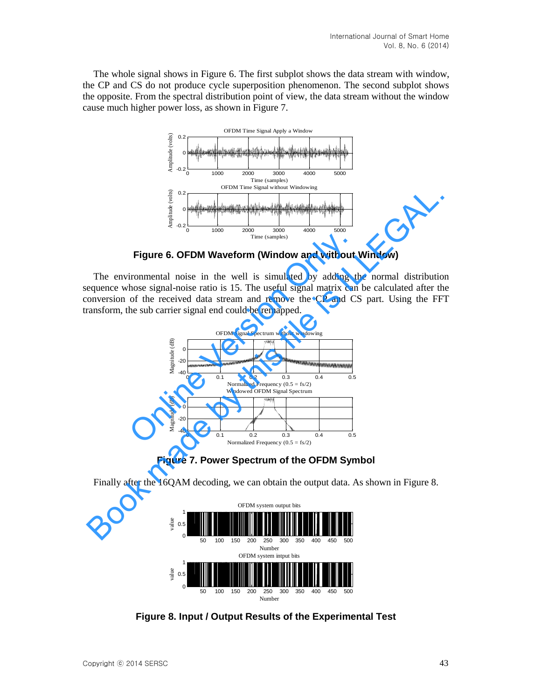The whole signal shows in Figure 6. The first subplot shows the data stream with window, the CP and CS do not produce cycle superposition phenomenon. The second subplot shows the opposite. From the spectral distribution point of view, the data stream without the window cause much higher power loss, as shown in Figure 7.



**Figure 6. OFDM Waveform (Window and without Window)** 

The environmental noise in the well is simulated by adding the normal distribution sequence whose signal-noise ratio is 15. The useful signal matrix can be calculated after the conversion of the received data stream and remove the CP and CS part. Using the FFT transform, the sub carrier signal end could be remapped.



**Figure 7. Power Spectrum of the OFDM Symbol** 

Finally after the 16QAM decoding, we can obtain the output data. As shown in Figure 8.



**Figure 8. Input / Output Results of the Experimental Test**